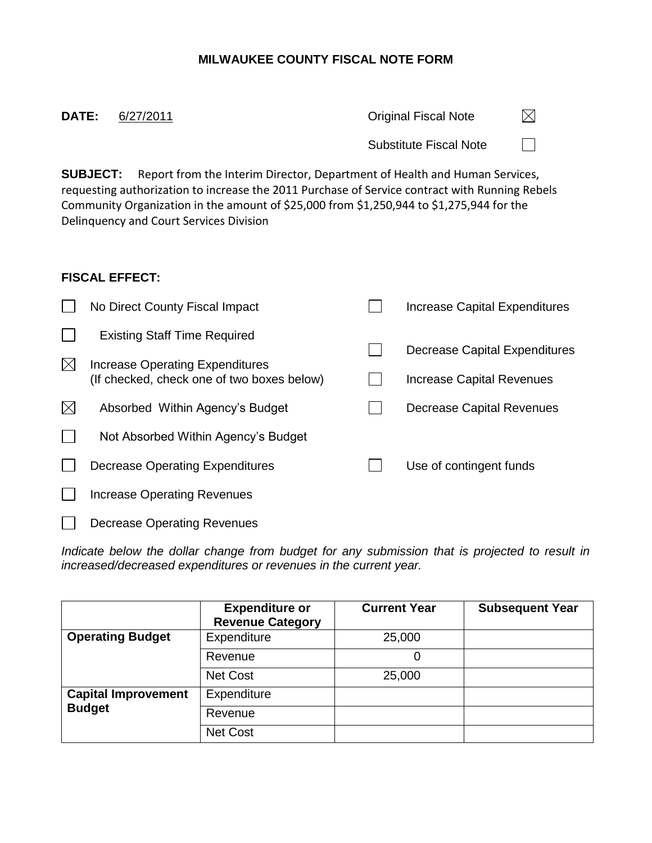# **MILWAUKEE COUNTY FISCAL NOTE FORM**

| <b>DATE:</b>                                                                                                                                                                                    | 6/27/2011 | <b>Original Fiscal Note</b>   | $\boxtimes$ |  |  |  |  |
|-------------------------------------------------------------------------------------------------------------------------------------------------------------------------------------------------|-----------|-------------------------------|-------------|--|--|--|--|
|                                                                                                                                                                                                 |           | <b>Substitute Fiscal Note</b> | $\perp$     |  |  |  |  |
| <b>SUBJECT:</b><br>Report from the Interim Director, Department of Health and Human Services,<br>requesting authorization to increase the 2011 Purchase of Service contract with Running Rebels |           |                               |             |  |  |  |  |

Community Organization in the amount of \$25,000 from \$1,250,944 to \$1,275,944 for the Delinquency and Court Services Division

## **FISCAL EFFECT:**

|             | No Direct County Fiscal Impact             | Increase Capital Expenditures |
|-------------|--------------------------------------------|-------------------------------|
|             | <b>Existing Staff Time Required</b>        |                               |
| $\boxtimes$ | Increase Operating Expenditures            | Decrease Capital Expenditures |
|             | (If checked, check one of two boxes below) | Increase Capital Revenues     |
| $\boxtimes$ | Absorbed Within Agency's Budget            | Decrease Capital Revenues     |
|             | Not Absorbed Within Agency's Budget        |                               |
|             | Decrease Operating Expenditures            | Use of contingent funds       |
|             | <b>Increase Operating Revenues</b>         |                               |
|             |                                            |                               |

 $\Box$ Decrease Operating Revenues

*Indicate below the dollar change from budget for any submission that is projected to result in increased/decreased expenditures or revenues in the current year.*

|                            | <b>Expenditure or</b><br><b>Revenue Category</b> | <b>Current Year</b> | <b>Subsequent Year</b> |
|----------------------------|--------------------------------------------------|---------------------|------------------------|
| <b>Operating Budget</b>    | Expenditure                                      | 25,000              |                        |
|                            | Revenue                                          | 0                   |                        |
|                            | <b>Net Cost</b>                                  | 25,000              |                        |
| <b>Capital Improvement</b> | Expenditure                                      |                     |                        |
| <b>Budget</b>              | Revenue                                          |                     |                        |
|                            | Net Cost                                         |                     |                        |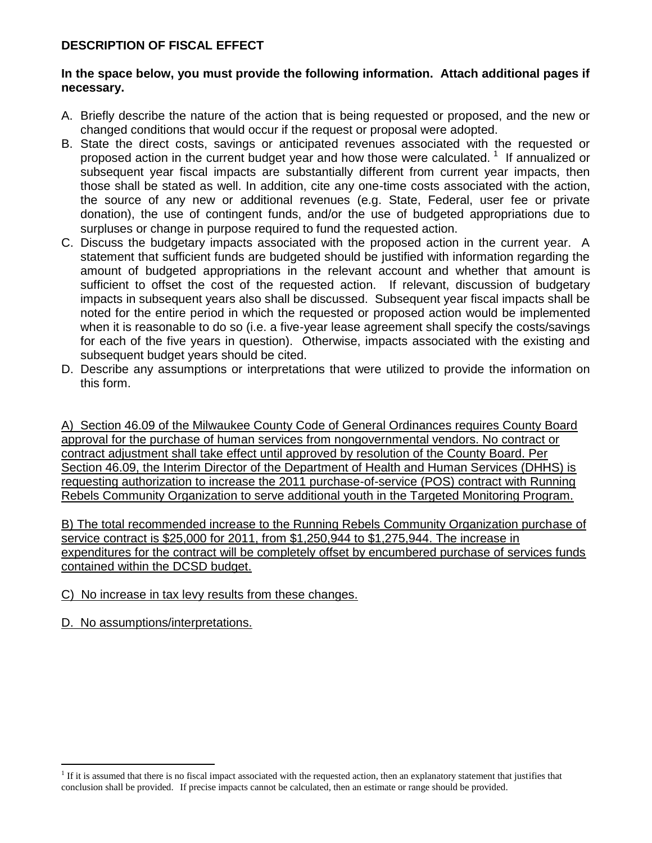#### **DESCRIPTION OF FISCAL EFFECT**

## **In the space below, you must provide the following information. Attach additional pages if necessary.**

- A. Briefly describe the nature of the action that is being requested or proposed, and the new or changed conditions that would occur if the request or proposal were adopted.
- B. State the direct costs, savings or anticipated revenues associated with the requested or proposed action in the current budget year and how those were calculated.  $1$  If annualized or subsequent year fiscal impacts are substantially different from current year impacts, then those shall be stated as well. In addition, cite any one-time costs associated with the action, the source of any new or additional revenues (e.g. State, Federal, user fee or private donation), the use of contingent funds, and/or the use of budgeted appropriations due to surpluses or change in purpose required to fund the requested action.
- C. Discuss the budgetary impacts associated with the proposed action in the current year. A statement that sufficient funds are budgeted should be justified with information regarding the amount of budgeted appropriations in the relevant account and whether that amount is sufficient to offset the cost of the requested action.If relevant, discussion of budgetary impacts in subsequent years also shall be discussed. Subsequent year fiscal impacts shall be noted for the entire period in which the requested or proposed action would be implemented when it is reasonable to do so (i.e. a five-year lease agreement shall specify the costs/savings for each of the five years in question). Otherwise, impacts associated with the existing and subsequent budget years should be cited.
- D. Describe any assumptions or interpretations that were utilized to provide the information on this form.

A) Section 46.09 of the Milwaukee County Code of General Ordinances requires County Board approval for the purchase of human services from nongovernmental vendors. No contract or contract adjustment shall take effect until approved by resolution of the County Board. Per Section 46.09, the Interim Director of the Department of Health and Human Services (DHHS) is requesting authorization to increase the 2011 purchase-of-service (POS) contract with Running Rebels Community Organization to serve additional youth in the Targeted Monitoring Program.

B) The total recommended increase to the Running Rebels Community Organization purchase of service contract is \$25,000 for 2011, from \$1,250,944 to \$1,275,944. The increase in expenditures for the contract will be completely offset by encumbered purchase of services funds contained within the DCSD budget.

# C) No increase in tax levy results from these changes.

D. No assumptions/interpretations.

 $\overline{a}$ 

<sup>&</sup>lt;sup>1</sup> If it is assumed that there is no fiscal impact associated with the requested action, then an explanatory statement that justifies that conclusion shall be provided.If precise impacts cannot be calculated, then an estimate or range should be provided.